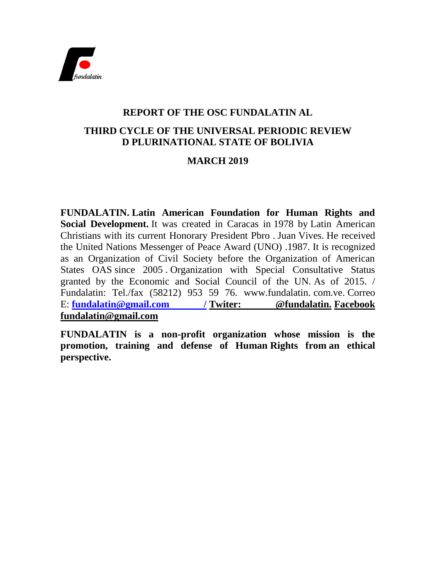

# **REPORT OF THE OSC FUNDALATIN AL**

# **THIRD CYCLE OF THE UNIVERSAL PERIODIC REVIEW D PLURINATIONAL STATE OF BOLIVIA**

# **MARCH 2019**

**FUNDALATIN. Latin American Foundation for Human Rights and Social Development.** It was created in Caracas in 1978 by Latin American Christians with its current Honorary President Pbro . Juan Vives. He received the United Nations Messenger of Peace Award (UNO) .1987. It is recognized as an Organization of Civil Society before the Organization of American States OAS since 2005 . Organization with Special Consultative Status granted by the Economic and Social Council of the UN. As of 2015. / Fundalatin: Tel./fax (58212) 953 59 76. www.fundalatin. com.ve. Correo E: **fundalatin@gmail.com / Twiter: @fundalatin. Facebook fundalatin@gmail.com**

**FUNDALATIN is a non-profit organization whose mission is the promotion, training and defense of Human Rights from an ethical perspective.**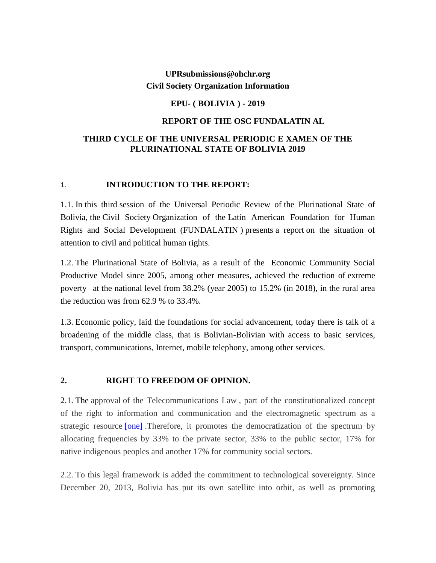## **UPRsubmissions@ohchr.org Civil Society Organization Information**

### **EPU- ( BOLIVIA ) - 2019**

### **REPORT OF THE OSC FUNDALATIN AL**

## **THIRD CYCLE OF THE UNIVERSAL PERIODIC E XAMEN OF THE PLURINATIONAL STATE OF BOLIVIA 2019**

### 1. **INTRODUCTION TO THE REPORT:**

1.1. In this third session of the Universal Periodic Review of the Plurinational State of Bolivia, the Civil Society Organization of the Latin American Foundation for Human Rights and Social Development (FUNDALATIN ) presents a report on the situation of attention to civil and political human rights.

1.2. The Plurinational State of Bolivia, as a result of the Economic Community Social Productive Model since 2005, among other measures, achieved the reduction of extreme poverty at the national level from 38.2% (year 2005) to 15.2% (in 2018), in the rural area the reduction was from 62.9 % to 33.4%.

1.3. Economic policy, laid the foundations for social advancement, today there is talk of a broadening of the middle class, that is Bolivian-Bolivian with access to basic services, transport, communications, Internet, mobile telephony, among other services.

#### **2. RIGHT TO FREEDOM OF OPINION.**

2.1. The approval of the Telecommunications Law , part of the constitutionalized concept of the right to information and communication and the electromagnetic spectrum as a strategic resource [\[one\]](https://translate.googleusercontent.com/translate_f#_ftn1) .Therefore, it promotes the democratization of the spectrum by allocating frequencies by 33% to the private sector, 33% to the public sector, 17% for native indigenous peoples and another 17% for community social sectors.

2.2. To this legal framework is added the commitment to technological sovereignty. Since December 20, 2013, Bolivia has put its own satellite into orbit, as well as promoting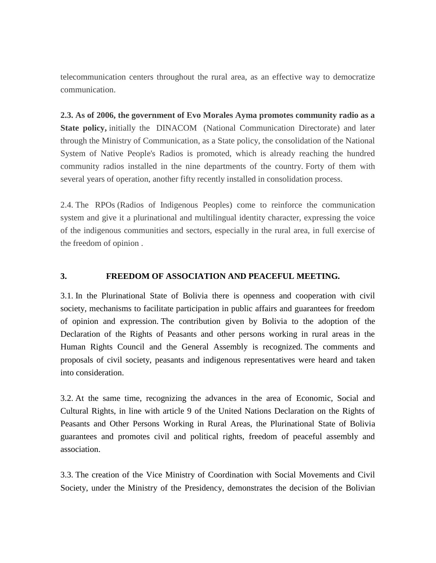telecommunication centers throughout the rural area, as an effective way to democratize communication.

**2.3. As of 2006, the government of Evo Morales Ayma promotes community radio as a State policy,** initially the DINACOM (National Communication Directorate) and later through the Ministry of Communication, as a State policy, the consolidation of the National System of Native People's Radios is promoted, which is already reaching the hundred community radios installed in the nine departments of the country. Forty of them with several years of operation, another fifty recently installed in consolidation process.

2.4. The RPOs (Radios of Indigenous Peoples) come to reinforce the communication system and give it a plurinational and multilingual identity character, expressing the voice of the indigenous communities and sectors, especially in the rural area, in full exercise of the freedom of opinion .

#### **3. FREEDOM OF ASSOCIATION AND PEACEFUL MEETING.**

3.1. In the Plurinational State of Bolivia there is openness and cooperation with civil society, mechanisms to facilitate participation in public affairs and guarantees for freedom of opinion and expression. The contribution given by Bolivia to the adoption of the Declaration of the Rights of Peasants and other persons working in rural areas in the Human Rights Council and the General Assembly is recognized. The comments and proposals of civil society, peasants and indigenous representatives were heard and taken into consideration.

3.2. At the same time, recognizing the advances in the area of Economic, Social and Cultural Rights, in line with article 9 of the United Nations Declaration on the Rights of Peasants and Other Persons Working in Rural Areas, the Plurinational State of Bolivia guarantees and promotes civil and political rights, freedom of peaceful assembly and association.

3.3. The creation of the Vice Ministry of Coordination with Social Movements and Civil Society, under the Ministry of the Presidency, demonstrates the decision of the Bolivian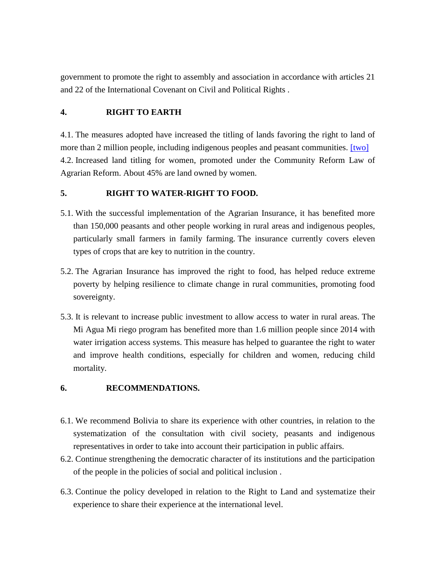government to promote the right to assembly and association in accordance with articles 21 and 22 of the International Covenant on Civil and Political Rights .

## **4. RIGHT TO EARTH**

4.1. The measures adopted have increased the titling of lands favoring the right to land of more than 2 million people, including indigenous peoples and peasant communities. [\[two\]](https://translate.googleusercontent.com/translate_f#_ftn2) 4.2. Increased land titling for women, promoted under the Community Reform Law of Agrarian Reform. About 45% are land owned by women.

## **5. RIGHT TO WATER-RIGHT TO FOOD.**

- 5.1. With the successful implementation of the Agrarian Insurance, it has benefited more than 150,000 peasants and other people working in rural areas and indigenous peoples, particularly small farmers in family farming. The insurance currently covers eleven types of crops that are key to nutrition in the country.
- 5.2. The Agrarian Insurance has improved the right to food, has helped reduce extreme poverty by helping resilience to climate change in rural communities, promoting food sovereignty.
- 5.3. It is relevant to increase public investment to allow access to water in rural areas. The Mi Agua Mi riego program has benefited more than 1.6 million people since 2014 with water irrigation access systems. This measure has helped to guarantee the right to water and improve health conditions, especially for children and women, reducing child mortality.

### **6. RECOMMENDATIONS.**

- 6.1. We recommend Bolivia to share its experience with other countries, in relation to the systematization of the consultation with civil society, peasants and indigenous representatives in order to take into account their participation in public affairs.
- 6.2. Continue strengthening the democratic character of its institutions and the participation of the people in the policies of social and political inclusion .
- 6.3. Continue the policy developed in relation to the Right to Land and systematize their experience to share their experience at the international level.